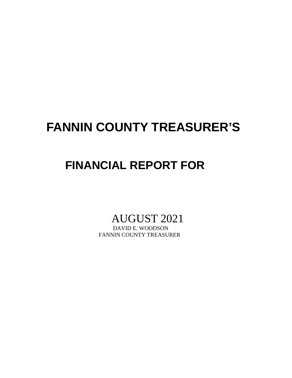## **FANNIN COUNTY TREASURER'S**

## **FINANCIAL REPORT FOR**

# AUGUST 2021

FANNIN COUNTY TREASURER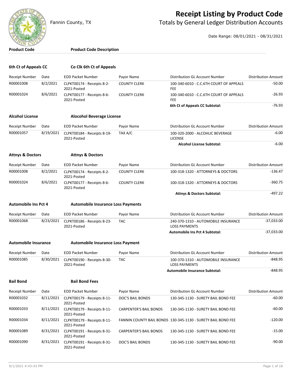

#### **Receipt Listing by Product Code**

Fannin County, TX **The County of Totals by General Ledger Distribution Accounts** 

Date Range: 08/01/2021 - 08/31/2021

| <b>Product Code</b>         |           | <b>Product Code Description</b>                      |                               |                                                              |                            |
|-----------------------------|-----------|------------------------------------------------------|-------------------------------|--------------------------------------------------------------|----------------------------|
|                             |           |                                                      |                               |                                                              |                            |
| 6th Ct of Appeals CC        |           | Co Clk 6th Ct of Appeals                             |                               |                                                              |                            |
| <b>Receipt Number</b>       | Date      | <b>EOD Packet Number</b>                             | Payor Name                    | Distribution GL Account Number                               | <b>Distribution Amount</b> |
| R00001008                   | 8/2/2021  | CLPKT00174 - Receipts 8-2-<br>2021-Posted            | <b>COUNTY CLERK</b>           | 100-340-6010 - C.C.6TH COURT OF APPEALS<br><b>FEE</b>        | $-50.00$                   |
| R00001024                   | 8/6/2021  | CLPKT00177 - Receipts 8-6-<br>2021-Posted            | <b>COUNTY CLERK</b>           | 100-340-6010 - C.C.6TH COURT OF APPEALS<br><b>FEE</b>        | $-26.93$                   |
|                             |           |                                                      |                               | 6th Ct of Appeals CC Subtotal:                               | $-76.93$                   |
| <b>Alcohol License</b>      |           | <b>Alocohol Beverage License</b>                     |                               |                                                              |                            |
| <b>Receipt Number</b>       | Date      | <b>EOD Packet Number</b>                             | Payor Name                    | Distribution GL Account Number                               | <b>Distribution Amount</b> |
| R00001057                   | 8/19/2021 | CLPKT00184 - Receipts 8-19-<br>2021-Posted           | TAX A/C                       | 100-320-2000 - ALCOHLIC BEVERAGE<br><b>LICENSE</b>           | $-6.00$                    |
|                             |           |                                                      |                               | <b>Alcohol License Subtotal:</b>                             | $-6.00$                    |
| <b>Attnys &amp; Doctors</b> |           | <b>Attnys &amp; Doctors</b>                          |                               |                                                              |                            |
| Receipt Number              | Date      | <b>EOD Packet Number</b>                             | Payor Name                    | Distribution GL Account Number                               | <b>Distribution Amount</b> |
| R00001008                   | 8/2/2021  | CLPKT00174 - Receipts 8-2-<br>2021-Posted            | <b>COUNTY CLERK</b>           | 100-318-1320 - ATTORNEYS & DOCTORS                           | $-136.47$                  |
| R00001024                   | 8/6/2021  | CLPKT00177 - Receipts 8-6-<br>2021-Posted            | <b>COUNTY CLERK</b>           | 100-318-1320 - ATTORNEYS & DOCTORS                           | $-360.75$                  |
|                             |           |                                                      |                               | <b>Attnys &amp; Doctors Subtotal:</b>                        | $-497.22$                  |
| <b>Automobile Ins Pct 4</b> |           | <b>Automobile Insurance Loss Payments</b>            |                               |                                                              |                            |
| Receipt Number              | Date      | <b>EOD Packet Number</b>                             | Payor Name                    | Distribution GL Account Number                               | <b>Distribution Amount</b> |
| R00001068                   | 8/23/2021 | CLPKT00186 - Receipts 8-23-<br>2021-Posted           | <b>TAC</b>                    | 240-370-1310 - AUTOMOBILE INSURANCE<br><b>LOSS PAYMENTS</b>  | $-37,033.00$               |
|                             |           |                                                      |                               | <b>Automobile Ins Pct 4 Subtotal:</b>                        | $-37,033.00$               |
| <b>Automobile Insurance</b> |           | <b>Automobile Insurance Loss Payment</b>             |                               |                                                              |                            |
|                             |           |                                                      |                               |                                                              |                            |
| <b>Receipt Number</b>       | Date      | <b>EOD Packet Number</b>                             | Payor Name                    | Distribution GL Account Number                               | <b>Distribution Amount</b> |
| R00001085                   |           | 8/30/2021 CLPKT00190 - Receipts 8-30-<br>2021-Posted | TAC                           | 100-370-1310 - AUTOMOBILE INSURANCE<br><b>LOSS PAYMENTS</b>  | 848.95                     |
|                             |           |                                                      |                               | Automobile Insurance Subtotal:                               | $-848.95$                  |
| <b>Bail Bond</b>            |           | <b>Bail Bond Fees</b>                                |                               |                                                              |                            |
| Receipt Number              | Date      | <b>EOD Packet Number</b>                             | Payor Name                    | Distribution GL Account Number                               | <b>Distribution Amount</b> |
| R00001032                   | 8/11/2021 | CLPKT00179 - Receipts 8-11-<br>2021-Posted           | DOC'S BAIL BONDS              | 130-345-1130 - SURETY BAIL BOND FEE                          | $-60.00$                   |
| R00001033                   |           | 8/11/2021 CLPKT00179 - Receipts 8-11-<br>2021-Posted | <b>CARPENTER'S BAIL BONDS</b> | 130-345-1130 - SURETY BAIL BOND FEE                          | $-60.00$                   |
| R00001034                   | 8/11/2021 | CLPKT00179 - Receipts 8-11-<br>2021-Posted           |                               | FANNIN COUNTY BAIL BONDS 130-345-1130 - SURETY BAIL BOND FEE | $-120.00$                  |
| R00001089                   |           | 8/31/2021 CLPKT00191 - Receipts 8-31-<br>2021-Posted | <b>CARPENTER'S BAIL BONDS</b> | 130-345-1130 - SURETY BAIL BOND FEE                          | $-15.00$                   |
| R00001090                   | 8/31/2021 | CLPKT00191 - Receipts 8-31-                          | DOC'S BAIL BONDS              | 130-345-1130 - SURETY BAIL BOND FEE                          | $-90.00$                   |

2021-Posted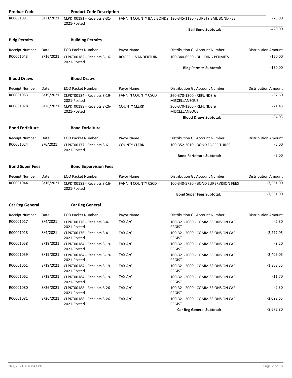| <b>Product Code</b>    |           | <b>Product Code Description</b>                      |                           |                                                              |                            |
|------------------------|-----------|------------------------------------------------------|---------------------------|--------------------------------------------------------------|----------------------------|
| R00001091              | 8/31/2021 | CLPKT00191 - Receipts 8-31-<br>2021-Posted           |                           | FANNIN COUNTY BAIL BONDS 130-345-1130 - SURETY BAIL BOND FEE | $-75.00$                   |
|                        |           |                                                      |                           | <b>Bail Bond Subtotal:</b>                                   | $-420.00$                  |
| <b>Bldg Permits</b>    |           | <b>Building Permits</b>                              |                           |                                                              |                            |
| Receipt Number         | Date      | <b>EOD Packet Number</b>                             | Payor Name                | Distribution GL Account Number                               | <b>Distribution Amount</b> |
| R00001043              | 8/16/2021 | CLPKT00182 - Receipts 8-16-<br>2021-Posted           | ROGER L. VANDERTUIN       | 100-340-6550 - BUILDING PERMITS                              | $-150.00$                  |
|                        |           |                                                      |                           | <b>Bldg Permits Subtotal:</b>                                | $-150.00$                  |
| <b>Blood Draws</b>     |           | <b>Blood Draws</b>                                   |                           |                                                              |                            |
| <b>Receipt Number</b>  | Date      | <b>EOD Packet Number</b>                             | Payor Name                | Distribution GL Account Number                               | <b>Distribution Amount</b> |
| R00001053              | 8/19/2021 | CLPKT00184 - Receipts 8-19-<br>2021-Posted           | <b>FANNIN COUNTY CSCD</b> | 360-370-1300 - REFUNDS &<br>MISCELLANEOUS                    | $-62.60$                   |
| R00001078              | 8/26/2021 | CLPKT00188 - Receipts 8-26-<br>2021-Posted           | <b>COUNTY CLERK</b>       | 360-370-1300 - REFUNDS &<br><b>MISCELLANEOUS</b>             | $-21.43$                   |
|                        |           |                                                      |                           | <b>Blood Draws Subtotal:</b>                                 | $-84.03$                   |
| <b>Bond Forfeiture</b> |           | <b>Bond Forfeiture</b>                               |                           |                                                              |                            |
| <b>Receipt Number</b>  | Date      | <b>EOD Packet Number</b>                             | Payor Name                | Distribution GL Account Number                               | <b>Distribution Amount</b> |
| R00001024              | 8/6/2021  | CLPKT00177 - Receipts 8-6-<br>2021-Posted            | <b>COUNTY CLERK</b>       | 100-352-2010 - BOND FORFEITURES                              | $-5.00$                    |
|                        |           |                                                      |                           | <b>Bond Forfeiture Subtotal:</b>                             | $-5.00$                    |
| <b>Bond Super Fees</b> |           | <b>Bond Supervision Fees</b>                         |                           |                                                              |                            |
| <b>Receipt Number</b>  | Date      | <b>EOD Packet Number</b>                             | Payor Name                | Distribution GL Account Number                               | <b>Distribution Amount</b> |
| R00001044              | 8/16/2021 | CLPKT00182 - Receipts 8-16-<br>2021-Posted           | <b>FANNIN COUNTY CSCD</b> | 100-340-5730 - BOND SUPERVISION FEES                         | $-7,561.00$                |
|                        |           |                                                      |                           | <b>Bond Super Fees Subtotal:</b>                             | $-7,561.00$                |
| <b>Car Reg General</b> |           | <b>Car Reg General</b>                               |                           |                                                              |                            |
| Receipt Number         | Date      | <b>EOD Packet Number</b>                             | Payor Name                | Distribution GL Account Number                               | <b>Distribution Amount</b> |
| R00001017              | 8/4/2021  | CLPKT00176 - Receipts 8-4-<br>2021-Posted            | TAX A/C                   | 100-321-2000 - COMMISSIONS ON CAR<br><b>REGIST</b>           | -2.30                      |
| R00001018              | 8/4/2021  | CLPKT00176 - Receipts 8-4-<br>2021-Posted            | TAX A/C                   | 100-321-2000 - COMMISSIONS ON CAR<br>REGIST                  | $-2,277.05$                |
| R00001058              | 8/19/2021 | CLPKT00184 - Receipts 8-19-<br>2021-Posted           | TAX A/C                   | 100-321-2000 - COMMISSIONS ON CAR<br>REGIST                  | $-9.20$                    |
| R00001059              | 8/19/2021 | CLPKT00184 - Receipts 8-19-<br>2021-Posted           | TAX A/C                   | 100-321-2000 - COMMISSIONS ON CAR<br>REGIST                  | $-2,409.05$                |
| R00001061              |           | 8/19/2021 CLPKT00184 - Receipts 8-19-<br>2021-Posted | TAX A/C                   | 100-321-2000 - COMMISSIONS ON CAR<br><b>REGIST</b>           | $-1,868.55$                |
| R00001062              |           | 8/19/2021 CLPKT00184 - Receipts 8-19-<br>2021-Posted | TAX A/C                   | 100-321-2000 - COMMISSIONS ON CAR<br><b>REGIST</b>           | $-11.70$                   |
| R00001080              |           | 8/26/2021 CLPKT00188 - Receipts 8-26-<br>2021-Posted | TAX A/C                   | 100-321-2000 - COMMISSIONS ON CAR<br><b>REGIST</b>           | $-2.30$                    |
| R00001081              | 8/26/2021 | CLPKT00188 - Receipts 8-26-<br>2021-Posted           | TAX A/C                   | 100-321-2000 - COMMISSIONS ON CAR<br><b>REGIST</b>           | $-2,092.65$                |
|                        |           |                                                      |                           | <b>Car Reg General Subtotal:</b>                             | $-8,672.80$                |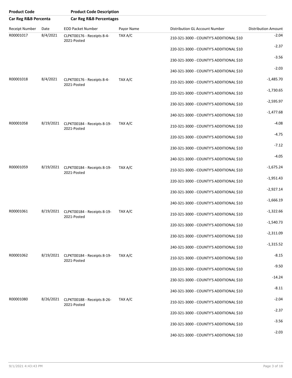| <b>Product Code</b>  |           | <b>Product Code Description</b>                      |            |                                         |                            |
|----------------------|-----------|------------------------------------------------------|------------|-----------------------------------------|----------------------------|
| Car Reg R&B Percenta |           | <b>Car Reg R&amp;B Percentages</b>                   |            |                                         |                            |
| Receipt Number       | Date      | <b>EOD Packet Number</b>                             | Payor Name | Distribution GL Account Number          | <b>Distribution Amount</b> |
| R00001017            | 8/4/2021  | CLPKT00176 - Receipts 8-4-<br>2021-Posted            | TAX A/C    | 210-321-3000 - COUNTY'S ADDITIONAL \$10 | $-2.04$                    |
|                      |           |                                                      |            | 220-321-3000 - COUNTY'S ADDITIONAL \$10 | $-2.37$                    |
|                      |           |                                                      |            | 230-321-3000 - COUNTY'S ADDITIONAL \$10 | $-3.56$                    |
|                      |           |                                                      |            | 240-321-3000 - COUNTY'S ADDITIONAL \$10 | $-2.03$                    |
| R00001018            | 8/4/2021  | CLPKT00176 - Receipts 8-4-<br>2021-Posted            | TAX A/C    | 210-321-3000 - COUNTY'S ADDITIONAL \$10 | $-1,485.70$                |
|                      |           |                                                      |            | 220-321-3000 - COUNTY'S ADDITIONAL \$10 | $-1,730.65$                |
|                      |           |                                                      |            | 230-321-3000 - COUNTY'S ADDITIONAL \$10 | $-2,595.97$                |
|                      |           |                                                      |            | 240-321-3000 - COUNTY'S ADDITIONAL \$10 | $-1,477.68$                |
| R00001058            | 8/19/2021 | CLPKT00184 - Receipts 8-19-<br>2021-Posted           | TAX A/C    | 210-321-3000 - COUNTY'S ADDITIONAL \$10 | $-4.08$                    |
|                      |           |                                                      |            | 220-321-3000 - COUNTY'S ADDITIONAL \$10 | $-4.75$                    |
|                      |           |                                                      |            | 230-321-3000 - COUNTY'S ADDITIONAL \$10 | $-7.12$                    |
|                      |           |                                                      |            | 240-321-3000 - COUNTY'S ADDITIONAL \$10 | $-4.05$                    |
| R00001059            |           | 8/19/2021 CLPKT00184 - Receipts 8-19-<br>2021-Posted | TAX A/C    | 210-321-3000 - COUNTY'S ADDITIONAL \$10 | $-1,675.24$                |
|                      |           |                                                      |            | 220-321-3000 - COUNTY'S ADDITIONAL \$10 | $-1,951.43$                |
|                      |           |                                                      |            | 230-321-3000 - COUNTY'S ADDITIONAL \$10 | $-2,927.14$                |
|                      |           |                                                      |            | 240-321-3000 - COUNTY'S ADDITIONAL \$10 | $-1,666.19$                |
| R00001061            |           | 8/19/2021 CLPKT00184 - Receipts 8-19-<br>2021-Posted | TAX A/C    | 210-321-3000 - COUNTY'S ADDITIONAL \$10 | $-1,322.66$                |
|                      |           |                                                      |            | 220-321-3000 - COUNTY'S ADDITIONAL \$10 | $-1,540.73$                |
|                      |           |                                                      |            | 230-321-3000 - COUNTY'S ADDITIONAL \$10 | $-2,311.09$                |
|                      |           |                                                      |            | 240-321-3000 - COUNTY'S ADDITIONAL \$10 | $-1,315.52$                |
| R00001062            |           | 8/19/2021 CLPKT00184 - Receipts 8-19-<br>2021-Posted | TAX A/C    | 210-321-3000 - COUNTY'S ADDITIONAL \$10 | $-8.15$                    |
|                      |           |                                                      |            | 220-321-3000 - COUNTY'S ADDITIONAL \$10 | $-9.50$                    |
|                      |           |                                                      |            | 230-321-3000 - COUNTY'S ADDITIONAL \$10 | $-14.24$                   |
|                      |           |                                                      |            | 240-321-3000 - COUNTY'S ADDITIONAL \$10 | $-8.11$                    |
| R00001080            |           | 8/26/2021 CLPKT00188 - Receipts 8-26-<br>2021-Posted | TAX A/C    | 210-321-3000 - COUNTY'S ADDITIONAL \$10 | $-2.04$                    |
|                      |           |                                                      |            | 220-321-3000 - COUNTY'S ADDITIONAL \$10 | $-2.37$                    |
|                      |           |                                                      |            | 230-321-3000 - COUNTY'S ADDITIONAL \$10 | $-3.56$                    |
|                      |           |                                                      |            | 240-321-3000 - COUNTY'S ADDITIONAL \$10 | $-2.03$                    |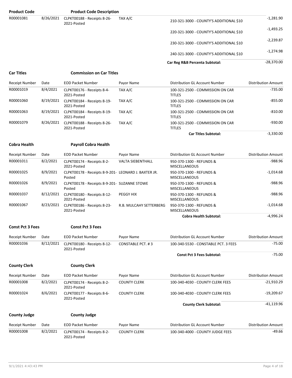| <b>Product Code</b>     |           | <b>Product Code Description</b>                                |                          |                                                   |                            |
|-------------------------|-----------|----------------------------------------------------------------|--------------------------|---------------------------------------------------|----------------------------|
| R00001081               | 8/26/2021 | CLPKT00188 - Receipts 8-26-<br>2021-Posted                     | TAX A/C                  | 210-321-3000 - COUNTY'S ADDITIONAL \$10           | $-1,281.90$                |
|                         |           |                                                                |                          | 220-321-3000 - COUNTY'S ADDITIONAL \$10           | $-1,493.25$                |
|                         |           |                                                                |                          | 230-321-3000 - COUNTY'S ADDITIONAL \$10           | $-2,239.87$                |
|                         |           |                                                                |                          | 240-321-3000 - COUNTY'S ADDITIONAL \$10           | $-1,274.98$                |
|                         |           |                                                                |                          | Car Reg R&B Percenta Subtotal:                    | $-28,370.00$               |
| <b>Car Titles</b>       |           | <b>Commission on Car Titles</b>                                |                          |                                                   |                            |
| <b>Receipt Number</b>   | Date      | <b>EOD Packet Number</b>                                       | Payor Name               | Distribution GL Account Number                    | <b>Distribution Amount</b> |
| R00001019               | 8/4/2021  | CLPKT00176 - Receipts 8-4-<br>2021-Posted                      | TAX A/C                  | 100-321-2500 - COMMISSION ON CAR<br><b>TITLES</b> | $-735.00$                  |
| R00001060               | 8/19/2021 | CLPKT00184 - Receipts 8-19-<br>2021-Posted                     | TAX A/C                  | 100-321-2500 - COMMISSION ON CAR<br><b>TITLES</b> | $-855.00$                  |
| R00001063               | 8/19/2021 | CLPKT00184 - Receipts 8-19-<br>2021-Posted                     | TAX A/C                  | 100-321-2500 - COMMISSION ON CAR<br><b>TITLES</b> | $-810.00$                  |
| R00001079               | 8/26/2021 | CLPKT00188 - Receipts 8-26-<br>2021-Posted                     | TAX A/C                  | 100-321-2500 - COMMISSION ON CAR<br><b>TITLES</b> | $-930.00$                  |
|                         |           |                                                                |                          | <b>Car Titles Subtotal:</b>                       | $-3,330.00$                |
| <b>Cobra Health</b>     |           | <b>Payroll Cobra Health</b>                                    |                          |                                                   |                            |
| Receipt Number          | Date      | <b>EOD Packet Number</b>                                       | Payor Name               | Distribution GL Account Number                    | <b>Distribution Amount</b> |
| R00001011               | 8/2/2021  | CLPKT00174 - Receipts 8-2-<br>2021-Posted                      | <b>VALTA SIEBENTHALL</b> | 950-370-1300 - REFUNDS &<br><b>MISCELLANEOUS</b>  | $-988.96$                  |
| R00001025               | 8/9/2021  | CLPKT00178 - Receipts 8-9-201- LEONARD J. BAXTER JR.<br>Posted |                          | 950-370-1300 - REFUNDS &<br>MISCELLANEOUS         | $-1,014.68$                |
| R00001026               | 8/9/2021  | CLPKT00178 - Receipts 8-9-201- SUZANNE STOWE<br>Posted         |                          | 950-370-1300 - REFUNDS &<br><b>MISCELLANEOUS</b>  | $-988.96$                  |
| R00001037               | 8/12/2021 | CLPKT00180 - Receipts 8-12-<br>2021-Posted                     | PEGGY HIX                | 950-370-1300 - REFUNDS &<br><b>MISCELLANEOUS</b>  | $-988.96$                  |
| R00001067               | 8/23/2021 | CLPKT00186 - Receipts 8-23-<br>2021-Posted                     | R.B. MULCAHY SETTERBERG  | 950-370-1300 - REFUNDS &<br><b>MISCELLANEOUS</b>  | $-1,014.68$                |
|                         |           |                                                                |                          | <b>Cobra Health Subtotal:</b>                     | $-4,996.24$                |
| <b>Const Pct 3 Fees</b> |           | <b>Const Pct 3 Fees</b>                                        |                          |                                                   |                            |
| <b>Receipt Number</b>   | Date      | <b>EOD Packet Number</b>                                       | Payor Name               | Distribution GL Account Number                    | <b>Distribution Amount</b> |
| R00001036               | 8/12/2021 | CLPKT00180 - Receipts 8-12-                                    | <b>CONSTABLE PCT. #3</b> | 100-340-5530 - CONSTABLE PCT. 3 FEES              | $-75.00$                   |
|                         |           | 2021-Posted                                                    |                          |                                                   |                            |
|                         |           |                                                                |                          | <b>Const Pct 3 Fees Subtotal:</b>                 | $-75.00$                   |
| <b>County Clerk</b>     |           | <b>County Clerk</b>                                            |                          |                                                   |                            |
| <b>Receipt Number</b>   | Date      | <b>EOD Packet Number</b>                                       | Payor Name               | Distribution GL Account Number                    | <b>Distribution Amount</b> |
| R00001008               | 8/2/2021  | CLPKT00174 - Receipts 8-2-<br>2021-Posted                      | <b>COUNTY CLERK</b>      | 100-340-4030 - COUNTY CLERK FEES                  | $-21,910.29$               |
| R00001024               | 8/6/2021  | CLPKT00177 - Receipts 8-6-<br>2021-Posted                      | <b>COUNTY CLERK</b>      | 100-340-4030 - COUNTY CLERK FEES                  | $-19,209.67$               |
|                         |           |                                                                |                          | <b>County Clerk Subtotal:</b>                     | $-41,119.96$               |
| <b>County Judge</b>     |           | <b>County Judge</b>                                            |                          |                                                   |                            |
| <b>Receipt Number</b>   | Date      | <b>EOD Packet Number</b>                                       | Payor Name               | Distribution GL Account Number                    | <b>Distribution Amount</b> |
| R00001008               | 8/2/2021  | CLPKT00174 - Receipts 8-2-<br>2021-Posted                      | <b>COUNTY CLERK</b>      | 100-340-4000 - COUNTY JUDGE FEES                  | -49.66                     |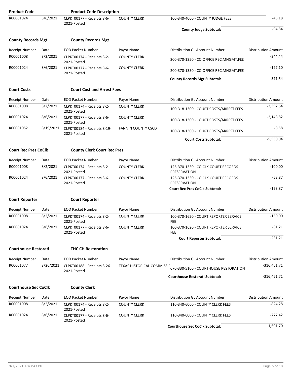| <b>Product Code</b>         |           | <b>Product Code Description</b>            |                           |                                                                  |                            |
|-----------------------------|-----------|--------------------------------------------|---------------------------|------------------------------------------------------------------|----------------------------|
| R00001024                   | 8/6/2021  | CLPKT00177 - Receipts 8-6-<br>2021-Posted  | <b>COUNTY CLERK</b>       | 100-340-4000 - COUNTY JUDGE FEES                                 | $-45.18$                   |
|                             |           |                                            |                           | <b>County Judge Subtotal:</b>                                    | $-94.84$                   |
| <b>County Records Mgt</b>   |           | <b>County Records Mgt</b>                  |                           |                                                                  |                            |
| Receipt Number              | Date      | <b>EOD Packet Number</b>                   | Payor Name                | Distribution GL Account Number                                   | <b>Distribution Amount</b> |
| R00001008                   | 8/2/2021  | CLPKT00174 - Receipts 8-2-<br>2021-Posted  | <b>COUNTY CLERK</b>       | 200-370-1350 - CO.OFFICE REC.MNGMT.FEE                           | $-244.44$                  |
| R00001024                   | 8/6/2021  | CLPKT00177 - Receipts 8-6-<br>2021-Posted  | <b>COUNTY CLERK</b>       | 200-370-1350 - CO.OFFICE REC.MNGMT.FEE                           | $-127.10$                  |
|                             |           |                                            |                           | <b>County Records Mgt Subtotal:</b>                              | $-371.54$                  |
| <b>Court Costs</b>          |           | <b>Court Cost and Arrest Fees</b>          |                           |                                                                  |                            |
| <b>Receipt Number</b>       | Date      | <b>EOD Packet Number</b>                   | Payor Name                | Distribution GL Account Number                                   | <b>Distribution Amount</b> |
| R00001008                   | 8/2/2021  | CLPKT00174 - Receipts 8-2-<br>2021-Posted  | <b>COUNTY CLERK</b>       | 100-318-1300 - COURT COSTS/ARREST FEES                           | $-3,392.64$                |
| R00001024                   | 8/6/2021  | CLPKT00177 - Receipts 8-6-<br>2021-Posted  | <b>COUNTY CLERK</b>       | 100-318-1300 - COURT COSTS/ARREST FEES                           | $-2,148.82$                |
| R00001052                   | 8/19/2021 | CLPKT00184 - Receipts 8-19-<br>2021-Posted | <b>FANNIN COUNTY CSCD</b> | 100-318-1300 - COURT COSTS/ARREST FEES                           | $-8.58$                    |
|                             |           |                                            |                           | <b>Court Costs Subtotal:</b>                                     | $-5,550.04$                |
| <b>Court Rec Pres CoClk</b> |           | <b>County Clerk Court Rec Pres</b>         |                           |                                                                  |                            |
| <b>Receipt Number</b>       | Date      | <b>EOD Packet Number</b>                   | Payor Name                | Distribution GL Account Number                                   | <b>Distribution Amount</b> |
| R00001008                   | 8/2/2021  | CLPKT00174 - Receipts 8-2-<br>2021-Posted  | <b>COUNTY CLERK</b>       | 126-370-1330 - CO.CLK.COURT RECORDS<br>PRESERVATION              | $-100.00$                  |
| R00001024                   | 8/6/2021  | CLPKT00177 - Receipts 8-6-<br>2021-Posted  | <b>COUNTY CLERK</b>       | 126-370-1330 - CO.CLK.COURT RECORDS<br>PRESERVATION              | $-53.87$                   |
|                             |           |                                            |                           | <b>Court Rec Pres CoClk Subtotal:</b>                            | $-153.87$                  |
| <b>Court Reporter</b>       |           | <b>Court Reporter</b>                      |                           |                                                                  |                            |
| <b>Receipt Number</b>       | Date      | <b>EOD Packet Number</b>                   | Payor Name                | Distribution GL Account Number                                   | <b>Distribution Amount</b> |
| R00001008                   | 8/2/2021  | CLPKT00174 - Receipts 8-2-<br>2021-Posted  | <b>COUNTY CLERK</b>       | 100-370-1620 - COURT REPORTER SERVICE<br>FEE                     | $-150.00$                  |
| R00001024                   | 8/6/2021  | CLPKT00177 - Receipts 8-6-<br>2021-Posted  | <b>COUNTY CLERK</b>       | 100-370-1620 - COURT REPORTER SERVICE<br><b>FEE</b>              | -81.21                     |
|                             |           |                                            |                           | <b>Court Reporter Subtotal:</b>                                  | $-231.21$                  |
| <b>Courthouse Restorati</b> |           | <b>THC CH Restoration</b>                  |                           |                                                                  |                            |
| Receipt Number              | Date      | <b>EOD Packet Number</b>                   | Payor Name                | <b>Distribution GL Account Number</b>                            | <b>Distribution Amount</b> |
| R00001077                   | 8/26/2021 | CLPKT00188 - Receipts 8-26-<br>2021-Posted |                           | TEXAS HISTORICAL COMMISSIC 670-330-5100 - COURTHOUSE RESTORATION | -316,461.71                |
|                             |           |                                            |                           | <b>Courthouse Restorati Subtotal:</b>                            | -316,461.71                |
| <b>Courthouse Sec CoClk</b> |           | <b>County Clerk</b>                        |                           |                                                                  |                            |
| Receipt Number              | Date      | <b>EOD Packet Number</b>                   | Payor Name                | Distribution GL Account Number                                   | <b>Distribution Amount</b> |
| R00001008                   | 8/2/2021  | CLPKT00174 - Receipts 8-2-<br>2021-Posted  | <b>COUNTY CLERK</b>       | 110-340-6000 - COUNTY CLERK FEES                                 | -824.28                    |
| R00001024                   | 8/6/2021  | CLPKT00177 - Receipts 8-6-<br>2021-Posted  | <b>COUNTY CLERK</b>       | 110-340-6000 - COUNTY CLERK FEES                                 | -777.42                    |
|                             |           |                                            |                           | <b>Courthouse Sec CoClk Subtotal:</b>                            | $-1,601.70$                |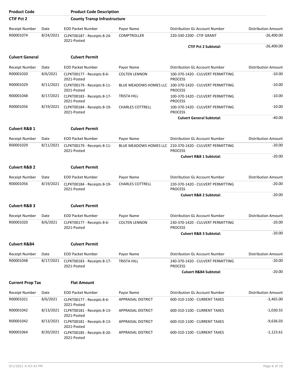| <b>Product Code</b>      |           | <b>Product Code Description</b>            |                               |                                                     |                            |
|--------------------------|-----------|--------------------------------------------|-------------------------------|-----------------------------------------------------|----------------------------|
| <b>CTIF Pct 2</b>        |           | <b>County Transp Infrastructure</b>        |                               |                                                     |                            |
| <b>Receipt Number</b>    | Date      | <b>EOD Packet Number</b>                   | Payor Name                    | Distribution GL Account Number                      | <b>Distribution Amount</b> |
| R00001074                | 8/24/2021 | CLPKT00187 - Receipts 8-24-<br>2021-Posted | <b>COMPTROLLER</b>            | 220-330-2200 - CTIF GRANT                           | $-26,400.00$               |
|                          |           |                                            |                               | <b>CTIF Pct 2 Subtotal:</b>                         | $-26,400.00$               |
| <b>Culvert General</b>   |           | <b>Culvert Permit</b>                      |                               |                                                     |                            |
| <b>Receipt Number</b>    | Date      | <b>EOD Packet Number</b>                   | Payor Name                    | Distribution GL Account Number                      | <b>Distribution Amount</b> |
| R00001020                | 8/6/2021  | CLPKT00177 - Receipts 8-6-<br>2021-Posted  | <b>COLTEN LENNON</b>          | 100-370-1420 - CULVERT PERMITTING<br><b>PROCESS</b> | $-10.00$                   |
| R00001029                | 8/11/2021 | CLPKT00179 - Receipts 8-11-<br>2021-Posted | BLUE MEADOWS HOMES LLC        | 100-370-1420 - CULVERT PERMITTING<br><b>PROCESS</b> | $-10.00$                   |
| R00001048                | 8/17/2021 | CLPKT00183 - Receipts 8-17-<br>2021-Posted | <b>TRISTA HILL</b>            | 100-370-1420 - CULVERT PERMITTING<br><b>PROCESS</b> | $-10.00$                   |
| R00001056                | 8/19/2021 | CLPKT00184 - Receipts 8-19-<br>2021-Posted | <b>CHARLES COTTRELL</b>       | 100-370-1420 - CULVERT PERMITTING<br><b>PROCESS</b> | $-10.00$                   |
|                          |           |                                            |                               | <b>Culvert General Subtotal:</b>                    | $-40.00$                   |
| <b>Culvert R&amp;B 1</b> |           | <b>Culvert Permit</b>                      |                               |                                                     |                            |
| <b>Receipt Number</b>    | Date      | <b>EOD Packet Number</b>                   | Payor Name                    | Distribution GL Account Number                      | <b>Distribution Amount</b> |
| R00001029                | 8/11/2021 | CLPKT00179 - Receipts 8-11-<br>2021-Posted | <b>BLUE MEADOWS HOMES LLC</b> | 210-370-1420 - CULVERT PERMITTING<br><b>PROCESS</b> | $-20.00$                   |
|                          |           |                                            |                               | <b>Culvert R&amp;B 1 Subtotal:</b>                  | $-20.00$                   |
| <b>Culvert R&amp;B 2</b> |           | <b>Culvert Permit</b>                      |                               |                                                     |                            |
| <b>Receipt Number</b>    | Date      | <b>EOD Packet Number</b>                   | Payor Name                    | Distribution GL Account Number                      | <b>Distribution Amount</b> |
| R00001056                | 8/19/2021 | CLPKT00184 - Receipts 8-19-<br>2021-Posted | <b>CHARLES COTTRELL</b>       | 220-370-1420 - CULVERT PERMITTING<br><b>PROCESS</b> | $-20.00$                   |
|                          |           |                                            |                               | <b>Culvert R&amp;B 2 Subtotal:</b>                  | $-20.00$                   |
| <b>Culvert R&amp;B 3</b> |           | <b>Culvert Permit</b>                      |                               |                                                     |                            |
| <b>Receipt Number</b>    | Date      | <b>EOD Packet Number</b>                   | Payor Name                    | Distribution GL Account Number                      | <b>Distribution Amount</b> |
| R00001020                | 8/6/2021  | CLPKT00177 - Receipts 8-6-<br>2021-Posted  | <b>COLTEN LENNON</b>          | 230-370-1420 - CULVERT PERMITTING<br><b>PROCESS</b> | $-20.00$                   |
|                          |           |                                            |                               | <b>Culvert R&amp;B 3 Subtotal:</b>                  | $-20.00$                   |
| <b>Culvert R&amp;B4</b>  |           | <b>Culvert Permit</b>                      |                               |                                                     |                            |
| <b>Receipt Number</b>    | Date      | <b>EOD Packet Number</b>                   | Payor Name                    | Distribution GL Account Number                      | <b>Distribution Amount</b> |
| R00001048                | 8/17/2021 | CLPKT00183 - Receipts 8-17-<br>2021-Posted | <b>TRISTA HILL</b>            | 240-370-1420 - CULVERT PERMITTING<br><b>PROCESS</b> | -20.00                     |
|                          |           |                                            |                               | <b>Culvert R&amp;B4 Subtotal:</b>                   | $-20.00$                   |
| <b>Current Prop Tax</b>  |           | <b>Flat Amount</b>                         |                               |                                                     |                            |
| <b>Receipt Number</b>    | Date      | <b>EOD Packet Number</b>                   | Payor Name                    | Distribution GL Account Number                      | Distribution Amount        |
| R00001021                | 8/6/2021  | CLPKT00177 - Receipts 8-6-<br>2021-Posted  | <b>APPRAISAL DISTRICT</b>     | 600-310-1100 - CURRENT TAXES                        | $-3,465.00$                |
| R00001042                | 8/13/2021 | CLPKT00181 - Receipts 8-13-<br>2021-Posted | APPRAISAL DISTRICT            | 600-310-1100 - CURRENT TAXES                        | $-1,030.55$                |
| R00001042                | 8/13/2021 | CLPKT00181 - Receipts 8-13-<br>2021-Posted | APPRAISAL DISTRICT            | 600-310-1100 - CURRENT TAXES                        | $-9,636.03$                |
| R00001064                | 8/20/2021 | CLPKT00185 - Receipts 8-20-<br>2021-Posted | APPRAISAL DISTRICT            | 600-310-1100 - CURRENT TAXES                        | $-1,123.61$                |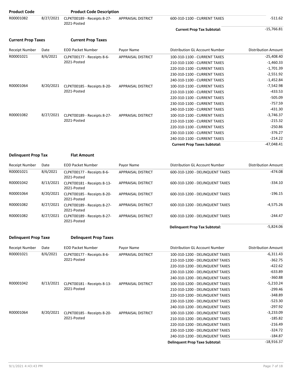| <b>Product Code</b>        |           | <b>Product Code Description</b>            |                           |                                     |                            |
|----------------------------|-----------|--------------------------------------------|---------------------------|-------------------------------------|----------------------------|
| R00001082                  | 8/27/2021 | CLPKT00189 - Receipts 8-27-<br>2021-Posted | <b>APPRAISAL DISTRICT</b> | 600-310-1100 - CURRENT TAXES        | $-511.62$                  |
|                            |           |                                            |                           | <b>Current Prop Tax Subtotal:</b>   | $-15,766.81$               |
| <b>Current Prop Taxes</b>  |           | <b>Current Prop Taxes</b>                  |                           |                                     |                            |
| <b>Receipt Number</b>      | Date      | <b>EOD Packet Number</b>                   | Payor Name                | Distribution GL Account Number      | <b>Distribution Amount</b> |
| R00001021                  | 8/6/2021  | CLPKT00177 - Receipts 8-6-                 | <b>APPRAISAL DISTRICT</b> | 100-310-1100 - CURRENT TAXES        | $-25,408.40$               |
|                            |           | 2021-Posted                                |                           | 210-310-1100 - CURRENT TAXES        | $-1,460.33$                |
|                            |           |                                            |                           | 220-310-1100 - CURRENT TAXES        | $-1,701.39$                |
|                            |           |                                            |                           | 230-310-1100 - CURRENT TAXES        | $-2,551.92$                |
|                            |           |                                            |                           | 240-310-1100 - CURRENT TAXES        | $-1,452.84$                |
| R00001064                  | 8/20/2021 | CLPKT00185 - Receipts 8-20-<br>2021-Posted | APPRAISAL DISTRICT        | 100-310-1100 - CURRENT TAXES        | $-7,542.98$                |
|                            |           |                                            |                           | 210-310-1100 - CURRENT TAXES        | $-433.53$                  |
|                            |           |                                            |                           | 220-310-1100 - CURRENT TAXES        | $-505.09$                  |
|                            |           |                                            |                           | 230-310-1100 - CURRENT TAXES        | $-757.59$                  |
|                            |           |                                            |                           | 240-310-1100 - CURRENT TAXES        | $-431.30$                  |
| R00001082                  | 8/27/2021 | CLPKT00189 - Receipts 8-27-                | <b>APPRAISAL DISTRICT</b> | 100-310-1100 - CURRENT TAXES        | $-3,746.37$                |
|                            |           | 2021-Posted                                |                           | 210-310-1100 - CURRENT TAXES        | $-215.32$                  |
|                            |           |                                            |                           | 220-310-1100 - CURRENT TAXES        | $-250.86$                  |
|                            |           |                                            |                           | 230-310-1100 - CURRENT TAXES        | $-376.27$                  |
|                            |           |                                            |                           | 240-310-1100 - CURRENT TAXES        | $-214.22$                  |
|                            |           |                                            |                           | <b>Current Prop Taxes Subtotal:</b> | $-47,048.41$               |
| <b>Delinquent Prop Tax</b> |           | <b>Flat Amount</b>                         |                           |                                     |                            |
| <b>Receipt Number</b>      | Date      | <b>EOD Packet Number</b>                   | Payor Name                | Distribution GL Account Number      | Distribution Amount        |
| R00001021                  | 8/6/2021  | CLPKT00177 - Receipts 8-6-<br>2021-Posted  | <b>APPRAISAL DISTRICT</b> | 600-310-1200 - DELINQUENT TAXES     | $-474.08$                  |
| R00001042                  | 8/13/2021 | CLPKT00181 - Receipts 8-13-<br>2021-Posted | APPRAISAL DISTRICT        | 600-310-1200 - DELINQUENT TAXES     | $-334.10$                  |
| R00001064                  | 8/20/2021 | CLPKT00185 - Receipts 8-20-<br>2021-Posted | <b>APPRAISAL DISTRICT</b> | 600-310-1200 - DELINQUENT TAXES     | $-196.15$                  |
| R00001082                  | 8/27/2021 | CLPKT00189 - Receipts 8-27-                | <b>APPRAISAL DISTRICT</b> | 600-310-1200 - DELINQUENT TAXES     | $-4,575.26$                |

|           |           |                                            |                    | <b>Delinquent Prop Tax Subtotal:</b> | $-5,824.06$ |
|-----------|-----------|--------------------------------------------|--------------------|--------------------------------------|-------------|
| R00001082 | 8/27/2021 | CLPKT00189 - Receipts 8-27-<br>2021-Posted | APPRAISAL DISTRICT | 600-310-1200 - DELINQUENT TAXES      | $-244.47$   |
| R00001082 | 8/27/2021 | CLPKT00189 - Receipts 8-27-<br>2021-Posted | APPRAISAL DISTRICT | 600-310-1200 - DELINQUENT TAXES      | $-4.575.26$ |
|           |           |                                            |                    |                                      |             |

#### **Delinquent Prop Taxe Delinquent Prop Taxes**

| Receipt Number | Date      | <b>EOD Packet Number</b>    | Payor Name                | Distribution GL Account Number        | <b>Distribution Amount</b> |
|----------------|-----------|-----------------------------|---------------------------|---------------------------------------|----------------------------|
| R00001021      | 8/6/2021  | CLPKT00177 - Receipts 8-6-  | <b>APPRAISAL DISTRICT</b> | 100-310-1200 - DELINQUENT TAXES       | $-6,311.43$                |
|                |           | 2021-Posted                 |                           | 210-310-1200 - DELINQUENT TAXES       | $-362.75$                  |
|                |           |                             |                           | 220-310-1200 - DELINQUENT TAXES       | $-422.62$                  |
|                |           |                             |                           | 230-310-1200 - DELINQUENT TAXES       | $-633.89$                  |
|                |           |                             |                           | 240-310-1200 - DELINQUENT TAXES       | $-360.88$                  |
| R00001042      | 8/13/2021 | CLPKT00181 - Receipts 8-13- | <b>APPRAISAL DISTRICT</b> | 100-310-1200 - DELINQUENT TAXES       | $-5,210.24$                |
|                |           | 2021-Posted                 |                           | 210-310-1200 - DELINQUENT TAXES       | $-299.46$                  |
|                |           |                             |                           | 220-310-1200 - DELINQUENT TAXES       | $-348.89$                  |
|                |           |                             |                           | 230-310-1200 - DELINQUENT TAXES       | $-523.30$                  |
|                |           |                             |                           | 240-310-1200 - DELINQUENT TAXES       | $-297.92$                  |
| R00001064      | 8/20/2021 | CLPKT00185 - Receipts 8-20- | <b>APPRAISAL DISTRICT</b> | 100-310-1200 - DELINQUENT TAXES       | $-3,233.09$                |
|                |           | 2021-Posted                 |                           | 210-310-1200 - DELINQUENT TAXES       | $-185.82$                  |
|                |           |                             |                           | 220-310-1200 - DELINQUENT TAXES       | $-216.49$                  |
|                |           |                             |                           | 230-310-1200 - DELINQUENT TAXES       | $-324.72$                  |
|                |           |                             |                           | 240-310-1200 - DELINQUENT TAXES       | -184.87                    |
|                |           |                             |                           | <b>Delinguent Prop Taxe Subtotal:</b> | $-18,916.37$               |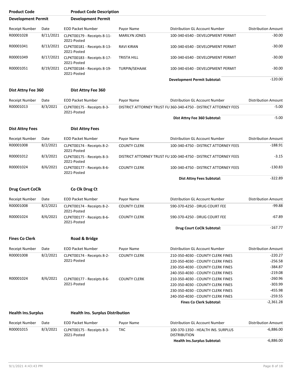| <b>Product Code</b>       |           | <b>Product Code Description</b>            |                      |                                                                  |                            |
|---------------------------|-----------|--------------------------------------------|----------------------|------------------------------------------------------------------|----------------------------|
| <b>Development Permit</b> |           | <b>Development Permit</b>                  |                      |                                                                  |                            |
| Receipt Number            | Date      | <b>EOD Packet Number</b>                   | Payor Name           | Distribution GL Account Number                                   | <b>Distribution Amount</b> |
| R00001028                 | 8/11/2021 | CLPKT00179 - Receipts 8-11-<br>2021-Posted | <b>MARILYN JONES</b> | 100-340-6540 - DEVELOPMENT PERMIT                                | $-30.00$                   |
| R00001041                 | 8/13/2021 | CLPKT00181 - Receipts 8-13-<br>2021-Posted | RAVI KIRAN           | 100-340-6540 - DEVELOPMENT PERMIT                                | $-30.00$                   |
| R00001049                 | 8/17/2021 | CLPKT00183 - Receipts 8-17-<br>2021-Posted | <b>TRISTA HILL</b>   | 100-340-6540 - DEVELOPMENT PERMIT                                | $-30.00$                   |
| R00001051                 | 8/19/2021 | CLPKT00184 - Receipts 8-19-<br>2021-Posted | TURPIN/SEHAAK        | 100-340-6540 - DEVELOPMENT PERMIT                                | $-30.00$                   |
|                           |           |                                            |                      | <b>Development Permit Subtotal:</b>                              | $-120.00$                  |
| Dist Attny Fee 360        |           | Dist Attny Fee 360                         |                      |                                                                  |                            |
| Receipt Number            | Date      | <b>EOD Packet Number</b>                   | Payor Name           | Distribution GL Account Number                                   | <b>Distribution Amount</b> |
| R00001013                 | 8/3/2021  | CLPKT00175 - Receipts 8-3-<br>2021-Posted  |                      | DISTRICT ATTORNEY TRUST FUI360-340-4750 - DISTRICT ATTORNEY FEES | $-5.00$                    |
|                           |           |                                            |                      | Dist Attny Fee 360 Subtotal:                                     | $-5.00$                    |
| <b>Dist Attny Fees</b>    |           | <b>Dist Attny Fees</b>                     |                      |                                                                  |                            |
| Receipt Number            | Date      | <b>EOD Packet Number</b>                   | Payor Name           | Distribution GL Account Number                                   | <b>Distribution Amount</b> |
| R00001008                 | 8/2/2021  | CLPKT00174 - Receipts 8-2-<br>2021-Posted  | <b>COUNTY CLERK</b>  | 100-340-4750 - DISTRICT ATTORNEY FEES                            | $-188.91$                  |
| R00001012                 | 8/3/2021  | CLPKT00175 - Receipts 8-3-<br>2021-Posted  |                      | DISTRICT ATTORNEY TRUST FUI100-340-4750 - DISTRICT ATTORNEY FEES | $-3.15$                    |
| R00001024                 | 8/6/2021  | CLPKT00177 - Receipts 8-6-<br>2021-Posted  | <b>COUNTY CLERK</b>  | 100-340-4750 - DISTRICT ATTORNEY FEES                            | $-130.83$                  |
|                           |           |                                            |                      | Dist Attny Fees Subtotal:                                        | $-322.89$                  |
| <b>Drug Court CoClk</b>   |           | Co Clk Drug Ct                             |                      |                                                                  |                            |
| Receipt Number            | Date      | <b>EOD Packet Number</b>                   | Payor Name           | <b>Distribution GL Account Number</b>                            | <b>Distribution Amount</b> |
| R00001008                 | 8/2/2021  | CLPKT00174 - Receipts 8-2-<br>2021-Posted  | <b>COUNTY CLERK</b>  | 590-370-4250 - DRUG COURT FEE                                    | $-99.88$                   |
| R00001024                 | 8/6/2021  | CLPKT00177 - Receipts 8-6-<br>2021-Posted  | <b>COUNTY CLERK</b>  | 590-370-4250 - DRUG COURT FEE                                    | -67.89                     |
|                           |           |                                            |                      | <b>Drug Court CoClk Subtotal:</b>                                | $-167.77$                  |
| <b>Fines Co Clerk</b>     |           | Road & Bridge                              |                      |                                                                  |                            |
| Receipt Number            | Date      | <b>EOD Packet Number</b>                   | Payor Name           | Distribution GL Account Number                                   | <b>Distribution Amount</b> |
| R00001008                 | 8/2/2021  | CLPKT00174 - Receipts 8-2-                 | <b>COUNTY CLERK</b>  | 210-350-4030 - COUNTY CLERK FINES                                | $-220.27$                  |
|                           |           | 2021-Posted                                |                      | 220-350-4030 - COUNTY CLERK FINES                                | $-256.58$                  |
|                           |           |                                            |                      | 230-350-4030 - COUNTY CLERK FINES                                | $-384.87$                  |
|                           |           |                                            |                      | 240-350-4030 - COUNTY CLERK FINES                                | $-219.08$                  |
| R00001024                 | 8/6/2021  | CLPKT00177 - Receipts 8-6-                 | <b>COUNTY CLERK</b>  | 210-350-4030 - COUNTY CLERK FINES                                | $-260.96$                  |
|                           |           | 2021-Posted                                |                      | 220-350-4030 - COUNTY CLERK FINES                                | $-303.99$                  |
|                           |           |                                            |                      | 230-350-4030 - COUNTY CLERK FINES                                | $-455.98$                  |
|                           |           |                                            |                      | 240-350-4030 - COUNTY CLERK FINES                                | $-259.55$                  |
|                           |           |                                            |                      | <b>Fines Co Clerk Subtotal:</b>                                  | $-2,361.28$                |
| <b>Health Ins.Surplus</b> |           | <b>Health Ins. Surplus Distribution</b>    |                      |                                                                  |                            |
| Receipt Number            | Date      | <b>EOD Packet Number</b>                   | Payor Name           | Distribution GL Account Number                                   | <b>Distribution Amount</b> |
| R00001015                 | 8/3/2021  | CLPKT00175 - Receipts 8-3-                 | <b>TAC</b>           | 100-370-1350 - HEALTH INS. SURPLUS                               | $-6,886.00$                |
|                           |           | 2021-Posted                                |                      | <b>DISTRIBUTION</b><br><b>Health Ins.Surplus Subtotal:</b>       | $-6,886.00$                |
|                           |           |                                            |                      |                                                                  |                            |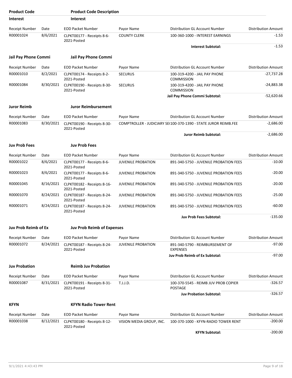| <b>Product Code</b>         |           | <b>Product Code Description</b>            |                           |                                                                 |                            |
|-----------------------------|-----------|--------------------------------------------|---------------------------|-----------------------------------------------------------------|----------------------------|
| <b>Interest</b>             |           | <b>Interest</b>                            |                           |                                                                 |                            |
| <b>Receipt Number</b>       | Date      | <b>EOD Packet Number</b>                   | Payor Name                | Distribution GL Account Number                                  | <b>Distribution Amount</b> |
| R00001024                   | 8/6/2021  | CLPKT00177 - Receipts 8-6-<br>2021-Posted  | <b>COUNTY CLERK</b>       | 100-360-1000 - INTEREST EARNINGS                                | $-1.53$                    |
|                             |           |                                            |                           | <b>Interest Subtotal:</b>                                       | $-1.53$                    |
| Jail Pay Phone Commi        |           | Jail Pay Phone Commi                       |                           |                                                                 |                            |
| <b>Receipt Number</b>       | Date      | <b>EOD Packet Number</b>                   | Payor Name                | Distribution GL Account Number                                  | <b>Distribution Amount</b> |
| R00001010                   | 8/2/2021  | CLPKT00174 - Receipts 8-2-<br>2021-Posted  | <b>SECURUS</b>            | 100-319-4200 - JAIL PAY PHONE<br><b>COMMISSION</b>              | $-27,737.28$               |
| R00001084                   | 8/30/2021 | CLPKT00190 - Receipts 8-30-<br>2021-Posted | <b>SECURUS</b>            | 100-319-4200 - JAIL PAY PHONE<br><b>COMMISSION</b>              | $-24,883.38$               |
|                             |           |                                            |                           | Jail Pay Phone Commi Subtotal:                                  | $-52,620.66$               |
| <b>Juror Reimb</b>          |           | <b>Juror Reimbursement</b>                 |                           |                                                                 |                            |
| <b>Receipt Number</b>       | Date      | <b>EOD Packet Number</b>                   | Payor Name                | Distribution GL Account Number                                  | <b>Distribution Amount</b> |
| R00001083                   | 8/30/2021 | CLPKT00190 - Receipts 8-30-<br>2021-Posted |                           | COMPTROLLER - JUDICIARY SE(100-370-1390 - STATE JUROR REIMB.FEE | $-2,686.00$                |
|                             |           |                                            |                           | <b>Juror Reimb Subtotal:</b>                                    | $-2,686.00$                |
| <b>Juv Prob Fees</b>        |           | <b>Juv Prob Fees</b>                       |                           |                                                                 |                            |
| <b>Receipt Number</b>       | Date      | <b>EOD Packet Number</b>                   | Payor Name                | Distribution GL Account Number                                  | <b>Distribution Amount</b> |
| R00001022                   | 8/6/2021  | CLPKT00177 - Receipts 8-6-<br>2021-Posted  | <b>JUVENILE PROBATION</b> | 891-340-5750 - JUVENILE PROBATION FEES                          | $-10.00$                   |
| R00001023                   | 8/6/2021  | CLPKT00177 - Receipts 8-6-<br>2021-Posted  | <b>JUVENILE PROBATION</b> | 891-340-5750 - JUVENILE PROBATION FEES                          | $-20.00$                   |
| R00001045                   | 8/16/2021 | CLPKT00182 - Receipts 8-16-<br>2021-Posted | <b>JUVENILE PROBATION</b> | 891-340-5750 - JUVENILE PROBATION FEES                          | $-20.00$                   |
| R00001070                   | 8/24/2021 | CLPKT00187 - Receipts 8-24-<br>2021-Posted | <b>JUVENILE PROBATION</b> | 891-340-5750 - JUVENILE PROBATION FEES                          | $-25.00$                   |
| R00001071                   | 8/24/2021 | CLPKT00187 - Receipts 8-24-<br>2021-Posted | <b>JUVENILE PROBATION</b> | 891-340-5750 - JUVENILE PROBATION FEES                          | $-60.00$                   |
|                             |           |                                            |                           | <b>Juv Prob Fees Subtotal:</b>                                  | $-135.00$                  |
| <b>Juv Prob Reimb of Ex</b> |           | <b>Juv Prob Reimb of Expenses</b>          |                           |                                                                 |                            |
| <b>Receipt Number</b>       | Date      | <b>EOD Packet Number</b>                   | Payor Name                | Distribution GL Account Number                                  | <b>Distribution Amount</b> |
| R00001072                   | 8/24/2021 | CLPKT00187 - Receipts 8-24-<br>2021-Posted | <b>JUVENILE PROBATION</b> | 891-340-5790 - REIMBURSEMENT OF<br><b>EXPENSES</b>              | $-97.00$                   |
|                             |           |                                            |                           | Juv Prob Reimb of Ex Subtotal:                                  | -97.00                     |
| <b>Juv Probation</b>        |           | <b>Reimb Juv Probation</b>                 |                           |                                                                 |                            |
| <b>Receipt Number</b>       | Date      | <b>EOD Packet Number</b>                   | Payor Name                | Distribution GL Account Number                                  | <b>Distribution Amount</b> |
| R00001087                   | 8/31/2021 | CLPKT00191 - Receipts 8-31-<br>2021-Posted | T.J.J.D.                  | 100-370-5545 - REIMB JUV PROB COPIER<br><b>POSTAGE</b>          | $-326.57$                  |
|                             |           |                                            |                           | <b>Juv Probation Subtotal:</b>                                  | -326.57                    |
| <b>KFYN</b>                 |           | <b>KFYN Radio Tower Rent</b>               |                           |                                                                 |                            |
| Receipt Number              | Date      | <b>EOD Packet Number</b>                   | Payor Name                | Distribution GL Account Number                                  | <b>Distribution Amount</b> |
| R00001038                   | 8/12/2021 | CLPKT00180 - Receipts 8-12-<br>2021-Posted | VISION MEDIA GROUP, INC.  | 100-370-1000 - KFYN-RADIO TOWER RENT                            | $-200.00$                  |
|                             |           |                                            |                           | <b>KFYN Subtotal:</b>                                           | $-200.00$                  |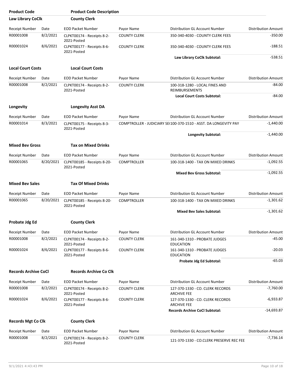| <b>Product Code</b>         |           | <b>Product Code Description</b>            |                     |                                                                  |                            |
|-----------------------------|-----------|--------------------------------------------|---------------------|------------------------------------------------------------------|----------------------------|
| Law Library CoClk           |           | <b>County Clerk</b>                        |                     |                                                                  |                            |
| Receipt Number              | Date      | <b>EOD Packet Number</b>                   | Payor Name          | Distribution GL Account Number                                   | <b>Distribution Amount</b> |
| R00001008                   | 8/2/2021  | CLPKT00174 - Receipts 8-2-<br>2021-Posted  | <b>COUNTY CLERK</b> | 350-340-4030 - COUNTY CLERK FEES                                 | $-350.00$                  |
| R00001024                   | 8/6/2021  | CLPKT00177 - Receipts 8-6-<br>2021-Posted  | <b>COUNTY CLERK</b> | 350-340-4030 - COUNTY CLERK FEES                                 | $-188.51$                  |
|                             |           |                                            |                     | Law Library CoClk Subtotal:                                      | $-538.51$                  |
| <b>Local Court Costs</b>    |           | <b>Local Court Costs</b>                   |                     |                                                                  |                            |
| <b>Receipt Number</b>       | Date      | <b>EOD Packet Number</b>                   | Payor Name          | Distribution GL Account Number                                   | <b>Distribution Amount</b> |
| R00001008                   | 8/2/2021  | CLPKT00174 - Receipts 8-2-<br>2021-Posted  | <b>COUNTY CLERK</b> | 100-318-1280 - LOCAL FINES AND<br><b>REIMBURSEMENTS</b>          | $-84.00$                   |
|                             |           |                                            |                     | <b>Local Court Costs Subtotal:</b>                               | $-84.00$                   |
| Longevity                   |           | <b>Longevity Asst DA</b>                   |                     |                                                                  |                            |
| <b>Receipt Number</b>       | Date      | <b>EOD Packet Number</b>                   | Payor Name          | Distribution GL Account Number                                   | <b>Distribution Amount</b> |
| R00001014                   | 8/3/2021  | CLPKT00175 - Receipts 8-3-<br>2021-Posted  |                     | COMPTROLLER - JUDICIARY SE(100-370-1510 - ASST, DA LONGEVITY PAY | $-1,440.00$                |
|                             |           |                                            |                     | <b>Longevity Subtotal:</b>                                       | $-1,440.00$                |
| <b>Mixed Bev Gross</b>      |           | Tax on Mixed Drinks                        |                     |                                                                  |                            |
| Receipt Number              | Date      | <b>EOD Packet Number</b>                   | Payor Name          | Distribution GL Account Number                                   | <b>Distribution Amount</b> |
| R00001065                   | 8/20/2021 | CLPKT00185 - Receipts 8-20-<br>2021-Posted | <b>COMPTROLLER</b>  | 100-318-1400 - TAX ON MIXED DRINKS                               | $-1,092.55$                |
|                             |           |                                            |                     | <b>Mixed Bev Gross Subtotal:</b>                                 | $-1,092.55$                |
| <b>Mixed Bev Sales</b>      |           | <b>Tax Of Mixed Drinks</b>                 |                     |                                                                  |                            |
| <b>Receipt Number</b>       | Date      | <b>EOD Packet Number</b>                   | Payor Name          | Distribution GL Account Number                                   | <b>Distribution Amount</b> |
| R00001065                   | 8/20/2021 | CLPKT00185 - Receipts 8-20-<br>2021-Posted | <b>COMPTROLLER</b>  | 100-318-1400 - TAX ON MIXED DRINKS                               | $-1,301.62$                |
|                             |           |                                            |                     | <b>Mixed Bev Sales Subtotal:</b>                                 | $-1,301.62$                |
| Probate Jdg Ed              |           | <b>County Clerk</b>                        |                     |                                                                  |                            |
| Receipt Number              | Date      | <b>EOD Packet Number</b>                   | Payor Name          | Distribution GL Account Number                                   | <b>Distribution Amount</b> |
| R00001008                   | 8/2/2021  | CLPKT00174 - Receipts 8-2-<br>2021-Posted  | <b>COUNTY CLERK</b> | 161-340-1310 - PROBATE JUDGES<br><b>EDUCATION</b>                | -45.00                     |
| R00001024                   | 8/6/2021  | CLPKT00177 - Receipts 8-6-<br>2021-Posted  | <b>COUNTY CLERK</b> | 161-340-1310 - PROBATE JUDGES<br><b>EDUCATION</b>                | $-20.03$                   |
|                             |           |                                            |                     | Probate Jdg Ed Subtotal:                                         | $-65.03$                   |
| <b>Records Archive CoCl</b> |           | <b>Records Archive Co Clk</b>              |                     |                                                                  |                            |
| Receipt Number              | Date      | <b>EOD Packet Number</b>                   | Payor Name          | Distribution GL Account Number                                   | <b>Distribution Amount</b> |
| R00001008                   | 8/2/2021  | CLPKT00174 - Receipts 8-2-<br>2021-Posted  | <b>COUNTY CLERK</b> | 127-370-1330 - CO. CLERK RECORDS<br><b>ARCHIVE FEE</b>           | $-7,760.00$                |
| R00001024                   | 8/6/2021  | CLPKT00177 - Receipts 8-6-<br>2021-Posted  | <b>COUNTY CLERK</b> | 127-370-1330 - CO. CLERK RECORDS<br><b>ARCHIVE FEE</b>           | $-6,933.87$                |
|                             |           |                                            |                     | <b>Records Archive CoCl Subtotal:</b>                            | $-14,693.87$               |
| <b>Records Mgt Co Clk</b>   |           | <b>County Clerk</b>                        |                     |                                                                  |                            |
| <b>Receipt Number</b>       | Date      | <b>EOD Packet Number</b>                   | Payor Name          | Distribution GL Account Number                                   | <b>Distribution Amount</b> |
| R00001008                   | 8/2/2021  | CLPKT00174 - Receipts 8-2-<br>2021-Posted  | <b>COUNTY CLERK</b> | 121-370-1330 - CO.CLERK PRESERVE REC FEE                         | $-7,736.14$                |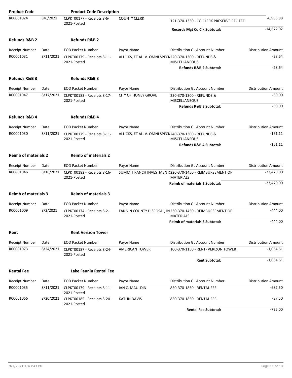| <b>Product Code</b>         |           | <b>Product Code Description</b>            |                            |                                                                                |                            |
|-----------------------------|-----------|--------------------------------------------|----------------------------|--------------------------------------------------------------------------------|----------------------------|
| R00001024                   | 8/6/2021  | CLPKT00177 - Receipts 8-6-<br>2021-Posted  | <b>COUNTY CLERK</b>        | 121-370-1330 - CO.CLERK PRESERVE REC FEE                                       | $-6,935.88$                |
|                             |           |                                            |                            | <b>Records Mgt Co Clk Subtotal:</b>                                            | $-14,672.02$               |
| <b>Refunds R&amp;B 2</b>    |           | <b>Refunds R&amp;B 2</b>                   |                            |                                                                                |                            |
| <b>Receipt Number</b>       | Date      | <b>EOD Packet Number</b>                   | Payor Name                 | Distribution GL Account Number                                                 | <b>Distribution Amount</b> |
| R00001031                   | 8/11/2021 | CLPKT00179 - Receipts 8-11-<br>2021-Posted |                            | ALLICKS, ET AL. V. OMNI SPECI/220-370-1300 - REFUNDS &<br><b>MISCELLANEOUS</b> | $-28.64$                   |
|                             |           |                                            |                            | Refunds R&B 2 Subtotal:                                                        | $-28.64$                   |
| <b>Refunds R&amp;B 3</b>    |           | <b>Refunds R&amp;B 3</b>                   |                            |                                                                                |                            |
| <b>Receipt Number</b>       | Date      | <b>EOD Packet Number</b>                   | Payor Name                 | Distribution GL Account Number                                                 | <b>Distribution Amount</b> |
| R00001047                   | 8/17/2021 | CLPKT00183 - Receipts 8-17-<br>2021-Posted | <b>CITY OF HONEY GROVE</b> | 230-370-1300 - REFUNDS &<br><b>MISCELLANEOUS</b>                               | $-60.00$                   |
|                             |           |                                            |                            | Refunds R&B 3 Subtotal:                                                        | $-60.00$                   |
| <b>Refunds R&amp;B 4</b>    |           | Refunds R&B 4                              |                            |                                                                                |                            |
| <b>Receipt Number</b>       | Date      | <b>EOD Packet Number</b>                   | Payor Name                 | Distribution GL Account Number                                                 | <b>Distribution Amount</b> |
| R00001030                   | 8/11/2021 | CLPKT00179 - Receipts 8-11-<br>2021-Posted |                            | ALLICKS, ET AL. V. OMNI SPECI/240-370-1300 - REFUNDS &<br><b>MISCELLANEOUS</b> | $-161.11$                  |
|                             |           |                                            |                            | Refunds R&B 4 Subtotal:                                                        | $-161.11$                  |
| <b>Reimb of materials 2</b> |           | <b>Reimb of materials 2</b>                |                            |                                                                                |                            |
| Receipt Number              | Date      | <b>EOD Packet Number</b>                   | Payor Name                 | Distribution GL Account Number                                                 | <b>Distribution Amount</b> |
| R00001046                   | 8/16/2021 | CLPKT00182 - Receipts 8-16-<br>2021-Posted |                            | SUMMIT RANCH INVESTMENT: 220-370-1450 - REIMBURSEMENT OF<br><b>MATERIALS</b>   | $-23,470.00$               |
|                             |           |                                            |                            | <b>Reimb of materials 2 Subtotal:</b>                                          | $-23,470.00$               |
| <b>Reimb of materials 3</b> |           | <b>Reimb of materials 3</b>                |                            |                                                                                |                            |
| <b>Receipt Number</b>       | Date      | <b>EOD Packet Number</b>                   | Payor Name                 | Distribution GL Account Number                                                 | <b>Distribution Amount</b> |
| R00001009                   | 8/2/2021  | CLPKT00174 - Receipts 8-2-<br>2021-Posted  |                            | FANNIN COUNTY DISPOSAL, IN 230-370-1450 - REIMBURSEMENT OF<br><b>MATERIALS</b> | $-444.00$                  |
|                             |           |                                            |                            | Reimb of materials 3 Subtotal:                                                 | $-444.00$                  |
| Rent                        |           | <b>Rent Verizon Tower</b>                  |                            |                                                                                |                            |
| Receipt Number              | Date      | <b>EOD Packet Number</b>                   | Payor Name                 | Distribution GL Account Number                                                 | <b>Distribution Amount</b> |
| R00001073                   | 8/24/2021 | CLPKT00187 - Receipts 8-24-<br>2021-Posted | AMERICAN TOWER             | 100-370-1150 - RENT- VERIZON TOWER                                             | $-1,064.61$                |
|                             |           |                                            |                            | <b>Rent Subtotal:</b>                                                          | $-1,064.61$                |
| <b>Rental Fee</b>           |           | Lake Fannin Rental Fee                     |                            |                                                                                |                            |
| <b>Receipt Number</b>       | Date      | <b>EOD Packet Number</b>                   | Payor Name                 | Distribution GL Account Number                                                 | <b>Distribution Amount</b> |
| R00001035                   | 8/11/2021 | CLPKT00179 - Receipts 8-11-<br>2021-Posted | IAN C. MAULDIN             | 850-370-1850 - RENTAL FEE                                                      | $-687.50$                  |
| R00001066                   | 8/20/2021 | CLPKT00185 - Receipts 8-20-<br>2021-Posted | KATLIN DAVIS               | 850-370-1850 - RENTAL FEE                                                      | $-37.50$                   |
|                             |           |                                            |                            | <b>Rental Fee Subtotal:</b>                                                    | $-725.00$                  |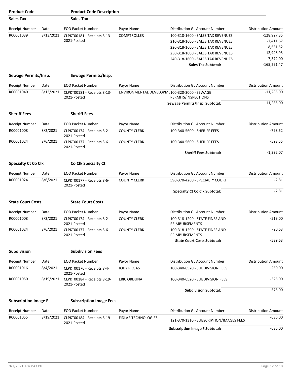| <b>Product Code</b>         |           | <b>Product Code Description</b>            |                                              |                                                         |                            |
|-----------------------------|-----------|--------------------------------------------|----------------------------------------------|---------------------------------------------------------|----------------------------|
| <b>Sales Tax</b>            |           | <b>Sales Tax</b>                           |                                              |                                                         |                            |
| Receipt Number              | Date      | <b>EOD Packet Number</b>                   | Payor Name                                   | Distribution GL Account Number                          | <b>Distribution Amount</b> |
| R00001039                   | 8/13/2021 | CLPKT00181 - Receipts 8-13-                | <b>COMPTROLLER</b>                           | 100-318-1600 - SALES TAX REVENUES                       | -128,927.35                |
|                             |           | 2021-Posted                                |                                              | 210-318-1600 - SALES TAX REVENUES                       | -7,411.67                  |
|                             |           |                                            |                                              | 220-318-1600 - SALES TAX REVENUES                       | $-8,631.52$                |
|                             |           |                                            |                                              | 230-318-1600 - SALES TAX REVENUES                       | $-12,948.93$               |
|                             |           |                                            |                                              | 240-318-1600 - SALES TAX REVENUES                       | $-7,372.00$                |
|                             |           |                                            |                                              | <b>Sales Tax Subtotal:</b>                              | $-165,291.47$              |
|                             |           |                                            |                                              |                                                         |                            |
| Sewage Permits/Insp.        |           | Sewage Permits/Insp.                       |                                              |                                                         |                            |
| <b>Receipt Number</b>       | Date      | <b>EOD Packet Number</b>                   | Payor Name                                   | Distribution GL Account Number                          | <b>Distribution Amount</b> |
| R00001040                   | 8/13/2021 | CLPKT00181 - Receipts 8-13-<br>2021-Posted | ENVIRONMENTAL DEVELOPME100-320-3000 - SEWAGE | PERMITS/INSPECTIONS                                     | $-11,285.00$               |
|                             |           |                                            |                                              | Sewage Permits/Insp. Subtotal:                          | $-11,285.00$               |
| <b>Sheriff Fees</b>         |           | <b>Sheriff Fees</b>                        |                                              |                                                         |                            |
| <b>Receipt Number</b>       | Date      | <b>EOD Packet Number</b>                   | Payor Name                                   | Distribution GL Account Number                          | <b>Distribution Amount</b> |
| R00001008                   | 8/2/2021  | CLPKT00174 - Receipts 8-2-<br>2021-Posted  | <b>COUNTY CLERK</b>                          | 100-340-5600 - SHERIFF FEES                             | $-798.52$                  |
| R00001024                   | 8/6/2021  | CLPKT00177 - Receipts 8-6-<br>2021-Posted  | <b>COUNTY CLERK</b>                          | 100-340-5600 - SHERIFF FEES                             | $-593.55$                  |
|                             |           |                                            |                                              | <b>Sheriff Fees Subtotal:</b>                           | $-1,392.07$                |
| <b>Specialty Ct Co Clk</b>  |           | Co Clk Specialty Ct                        |                                              |                                                         |                            |
| <b>Receipt Number</b>       | Date      | <b>EOD Packet Number</b>                   | Payor Name                                   | Distribution GL Account Number                          | <b>Distribution Amount</b> |
| R00001024                   | 8/6/2021  | CLPKT00177 - Receipts 8-6-<br>2021-Posted  | <b>COUNTY CLERK</b>                          | 590-370-4260 - SPECIALTY COURT                          | $-2.81$                    |
|                             |           |                                            |                                              | <b>Specialty Ct Co Clk Subtotal:</b>                    | $-2.81$                    |
| <b>State Court Costs</b>    |           | <b>State Court Costs</b>                   |                                              |                                                         |                            |
| Receipt Number              | Date      | <b>EOD Packet Number</b>                   | Payor Name                                   | Distribution GL Account Number                          | <b>Distribution Amount</b> |
| R00001008                   | 8/2/2021  | CLPKT00174 - Receipts 8-2-<br>2021-Posted  | <b>COUNTY CLERK</b>                          | 100-318-1290 - STATE FINES AND<br><b>REIMBURSEMENTS</b> | $-519.00$                  |
| R00001024                   | 8/6/2021  | CLPKT00177 - Receipts 8-6-<br>2021-Posted  | <b>COUNTY CLERK</b>                          | 100-318-1290 - STATE FINES AND<br><b>REIMBURSEMENTS</b> | $-20.63$                   |
|                             |           |                                            |                                              | <b>State Court Costs Subtotal:</b>                      | $-539.63$                  |
| <b>Subdivision</b>          |           | <b>Subdivision Fees</b>                    |                                              |                                                         |                            |
| <b>Receipt Number</b>       | Date      | EOD Packet Number                          | Payor Name                                   | <b>Distribution GL Account Number</b>                   | <b>Distribution Amount</b> |
| R00001016                   | 8/4/2021  | CLPKT00176 - Receipts 8-4-<br>2021-Posted  | JODY RIOJAS                                  | 100-340-6520 - SUBDIVISION FEES                         | $-250.00$                  |
| R00001050                   | 8/19/2021 | CLPKT00184 - Receipts 8-19-<br>2021-Posted | <b>ERIC ORDUNA</b>                           | 100-340-6520 - SUBDIVISION FEES                         | $-325.00$                  |
|                             |           |                                            |                                              | <b>Subdivision Subtotal:</b>                            | $-575.00$                  |
| <b>Subscription Image F</b> |           | <b>Subscription Image Fees</b>             |                                              |                                                         |                            |
| <b>Receipt Number</b>       | Date      | <b>EOD Packet Number</b>                   | Payor Name                                   | Distribution GL Account Number                          | <b>Distribution Amount</b> |
| R00001055                   | 8/19/2021 | CLPKT00184 - Receipts 8-19-<br>2021-Posted | <b>FIDLAR TECHNOLOGIES</b>                   | 121-370-1310 - SUBSCRIPTION/IMAGES FEES                 | $-636.00$                  |
|                             |           |                                            |                                              | <b>Subscription Image F Subtotal:</b>                   | $-636.00$                  |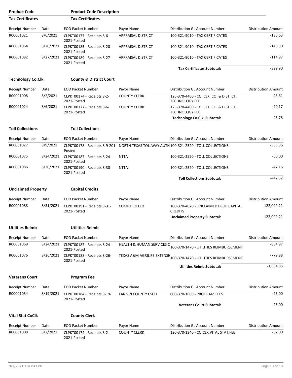| <b>Product Code</b>       |           | <b>Product Code Description</b>            |                           |                                                                                         |                            |
|---------------------------|-----------|--------------------------------------------|---------------------------|-----------------------------------------------------------------------------------------|----------------------------|
| <b>Tax Certificates</b>   |           | <b>Tax Certificates</b>                    |                           |                                                                                         |                            |
| <b>Receipt Number</b>     | Date      | <b>EOD Packet Number</b>                   | Payor Name                | Distribution GL Account Number                                                          | <b>Distribution Amount</b> |
| R00001021                 | 8/6/2021  | CLPKT00177 - Receipts 8-6-<br>2021-Posted  | <b>APPRAISAL DISTRICT</b> | 100-321-9010 - TAX CERTIFICATES                                                         | $-136.63$                  |
| R00001064                 | 8/20/2021 | CLPKT00185 - Receipts 8-20-<br>2021-Posted | APPRAISAL DISTRICT        | 100-321-9010 - TAX CERTIFICATES                                                         | $-148.30$                  |
| R00001082                 | 8/27/2021 | CLPKT00189 - Receipts 8-27-<br>2021-Posted | APPRAISAL DISTRICT        | 100-321-9010 - TAX CERTIFICATES                                                         | $-114.97$                  |
|                           |           |                                            |                           | <b>Tax Certificates Subtotal:</b>                                                       | $-399.90$                  |
| <b>Technology Co.Clk.</b> |           | <b>County &amp; District Court</b>         |                           |                                                                                         |                            |
| <b>Receipt Number</b>     | Date      | <b>EOD Packet Number</b>                   | Payor Name                | Distribution GL Account Number                                                          | <b>Distribution Amount</b> |
| R00001008                 | 8/2/2021  | CLPKT00174 - Receipts 8-2-<br>2021-Posted  | <b>COUNTY CLERK</b>       | 125-370-4400 - CO. CLK. CO. & DIST. CT.<br><b>TECHNOLOGY FEE</b>                        | $-25.61$                   |
| R00001024                 | 8/6/2021  | CLPKT00177 - Receipts 8-6-<br>2021-Posted  | <b>COUNTY CLERK</b>       | 125-370-4400 - CO. CLK. CO. & DIST. CT.<br><b>TECHNOLOGY FEE</b>                        | $-20.17$                   |
|                           |           |                                            |                           | <b>Technology Co.Clk. Subtotal:</b>                                                     | $-45.78$                   |
| <b>Toll Collections</b>   |           | <b>Toll Collections</b>                    |                           |                                                                                         |                            |
| <b>Receipt Number</b>     | Date      | <b>EOD Packet Number</b>                   | Payor Name                | Distribution GL Account Number                                                          | <b>Distribution Amount</b> |
| R00001027                 | 8/9/2021  | Posted                                     |                           | CLPKT00178 - Receipts 8-9-201- NORTH TEXAS TOLLWAY AUTH 100-321-2520 - TOLL COLLECTIONS | $-335.36$                  |
| R00001075                 | 8/24/2021 | CLPKT00187 - Receipts 8-24-<br>2021-Posted | <b>NTTA</b>               | 100-321-2520 - TOLL COLLECTIONS                                                         | $-60.00$                   |
| R00001086                 | 8/30/2021 | CLPKT00190 - Receipts 8-30-<br>2021-Posted | <b>NTTA</b>               | 100-321-2520 - TOLL COLLECTIONS                                                         | -47.16                     |
|                           |           |                                            |                           | <b>Toll Collections Subtotal:</b>                                                       | $-442.52$                  |
| <b>Unclaimed Property</b> |           | <b>Capital Credits</b>                     |                           |                                                                                         |                            |
| Receipt Number            | Date      | <b>EOD Packet Number</b>                   | Payor Name                | Distribution GL Account Number                                                          | <b>Distribution Amount</b> |
| R00001088                 | 8/31/2021 | CLPKT00191 - Receipts 8-31-<br>2021-Posted | <b>COMPTROLLER</b>        | 100-370-4020 - UNCLAIMED PROP CAPITAL<br><b>CREDITS</b>                                 | $-122,009.21$              |
|                           |           |                                            |                           | <b>Unclaimed Property Subtotal:</b>                                                     | $-122,009.21$              |
| <b>Utilities Reimb</b>    |           | <b>Utilities Reimb</b>                     |                           |                                                                                         |                            |
| Receipt Number            | Date      | <b>EOD Packet Number</b>                   | Payor Name                | Distribution GL Account Number                                                          | <b>Distribution Amount</b> |
| R00001069                 | 8/24/2021 | CLPKT00187 - Receipts 8-24-<br>2021-Posted | HEALTH & HUMAN SERVICES C | 100-370-1470 - UTILITIES REIMBURSEMENT                                                  | $-884.97$                  |
| R00001076                 | 8/26/2021 | CLPKT00188 - Receipts 8-26-<br>2021-Posted |                           | TEXAS A&M AGRILIFE EXTENSI(100-370-1470 - UTILITIES REIMBURSEMENT                       | -779.88                    |
|                           |           |                                            |                           | <b>Utilities Reimb Subtotal:</b>                                                        | $-1,664.85$                |
| <b>Veterans Court</b>     |           | <b>Program Fee</b>                         |                           |                                                                                         |                            |
| <b>Receipt Number</b>     | Date      | <b>EOD Packet Number</b>                   | Payor Name                | Distribution GL Account Number                                                          | <b>Distribution Amount</b> |
| R00001054                 | 8/19/2021 | CLPKT00184 - Receipts 8-19-<br>2021-Posted | <b>FANNIN COUNTY CSCD</b> | 800-370-1800 - PROGRAM FEES                                                             | $-25.00$                   |
|                           |           |                                            |                           | <b>Veterans Court Subtotal:</b>                                                         | $-25.00$                   |
| <b>Vital Stat CoClk</b>   |           | <b>County Clerk</b>                        |                           |                                                                                         |                            |
| <b>Receipt Number</b>     | Date      | <b>EOD Packet Number</b>                   | Payor Name                | Distribution GL Account Number                                                          | <b>Distribution Amount</b> |
| R00001008                 | 8/2/2021  | CLPKT00174 - Receipts 8-2-<br>2021-Posted  | <b>COUNTY CLERK</b>       | 120-370-1340 - CO.CLK.VITAL STAT.FEE                                                    | $-62.00$                   |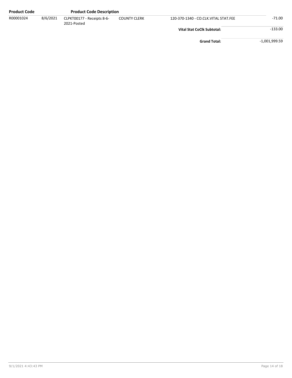| <b>Product Code</b> |          | <b>Product Code Description</b>           |                     |                                      |               |
|---------------------|----------|-------------------------------------------|---------------------|--------------------------------------|---------------|
| R00001024           | 8/6/2021 | CLPKT00177 - Receipts 8-6-<br>2021-Posted | <b>COUNTY CLERK</b> | 120-370-1340 - CO.CLK.VITAL STAT.FEE | -71.00        |
|                     |          |                                           |                     | <b>Vital Stat CoClk Subtotal:</b>    | $-133.00$     |
|                     |          |                                           |                     | <b>Grand Total:</b>                  | -1,001,999.59 |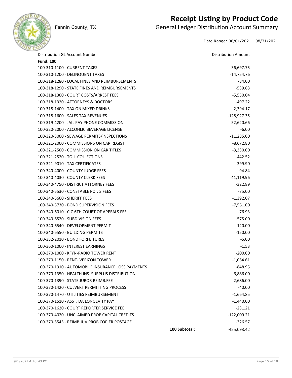

### **Receipt Listing by Product Code**

Fannin County, TX **General Ledger Distribution Account Summary** 

Date Range: 08/01/2021 - 08/31/2021

| Distribution GL Account Number                    |               | <b>Distribution Amount</b> |
|---------------------------------------------------|---------------|----------------------------|
| <b>Fund: 100</b>                                  |               |                            |
| 100-310-1100 - CURRENT TAXES                      |               | $-36,697.75$               |
| 100-310-1200 - DELINQUENT TAXES                   |               | $-14,754.76$               |
| 100-318-1280 - LOCAL FINES AND REIMBURSEMENTS     |               | $-84.00$                   |
| 100-318-1290 - STATE FINES AND REIMBURSEMENTS     |               | $-539.63$                  |
| 100-318-1300 - COURT COSTS/ARREST FEES            |               | $-5,550.04$                |
| 100-318-1320 - ATTORNEYS & DOCTORS                |               | $-497.22$                  |
| 100-318-1400 - TAX ON MIXED DRINKS                |               | $-2,394.17$                |
| 100-318-1600 - SALES TAX REVENUES                 |               | $-128,927.35$              |
| 100-319-4200 - JAIL PAY PHONE COMMISSION          |               | $-52,620.66$               |
| 100-320-2000 - ALCOHLIC BEVERAGE LICENSE          |               | -6.00                      |
| 100-320-3000 - SEWAGE PERMITS/INSPECTIONS         |               | $-11,285.00$               |
| 100-321-2000 - COMMISSIONS ON CAR REGIST          |               | $-8,672.80$                |
| 100-321-2500 - COMMISSION ON CAR TITLES           |               | $-3,330.00$                |
| 100-321-2520 - TOLL COLLECTIONS                   |               | $-442.52$                  |
| 100-321-9010 - TAX CERTIFICATES                   |               | $-399.90$                  |
| 100-340-4000 - COUNTY JUDGE FEES                  |               | $-94.84$                   |
| 100-340-4030 - COUNTY CLERK FEES                  |               | $-41,119.96$               |
| 100-340-4750 - DISTRICT ATTORNEY FEES             |               | $-322.89$                  |
| 100-340-5530 - CONSTABLE PCT. 3 FEES              |               | $-75.00$                   |
| 100-340-5600 - SHERIFF FEES                       |               | $-1,392.07$                |
| 100-340-5730 - BOND SUPERVISION FEES              |               | $-7,561.00$                |
| 100-340-6010 - C.C.6TH COURT OF APPEALS FEE       |               | $-76.93$                   |
| 100-340-6520 - SUBDIVISION FEES                   |               | $-575.00$                  |
| 100-340-6540 - DEVELOPMENT PERMIT                 |               | $-120.00$                  |
| 100-340-6550 - BUILDING PERMITS                   |               | $-150.00$                  |
| 100-352-2010 - BOND FORFEITURES                   |               | $-5.00$                    |
| 100-360-1000 - INTEREST EARNINGS                  |               | $-1.53$                    |
| 100-370-1000 - KFYN-RADIO TOWER RENT              |               | $-200.00$                  |
| 100-370-1150 - RENT- VERIZON TOWER                |               | $-1,064.61$                |
| 100-370-1310 - AUTOMOBILE INSURANCE LOSS PAYMENTS |               | $-848.95$                  |
| 100-370-1350 - HEALTH INS. SURPLUS DISTRIBUTION   |               | $-6,886.00$                |
| 100-370-1390 - STATE JUROR REIMB.FEE              |               | $-2,686.00$                |
| 100-370-1420 - CULVERT PERMITTING PROCESS         |               | $-40.00$                   |
| 100-370-1470 - UTILITIES REIMBURSEMENT            |               | $-1,664.85$                |
| 100-370-1510 - ASST. DA LONGEVITY PAY             |               | $-1,440.00$                |
| 100-370-1620 - COURT REPORTER SERVICE FEE         |               | $-231.21$                  |
| 100-370-4020 - UNCLAIMED PROP CAPITAL CREDITS     |               | $-122,009.21$              |
| 100-370-5545 - REIMB JUV PROB COPIER POSTAGE      |               | $-326.57$                  |
|                                                   | 100 Subtotal: | -455,093.42                |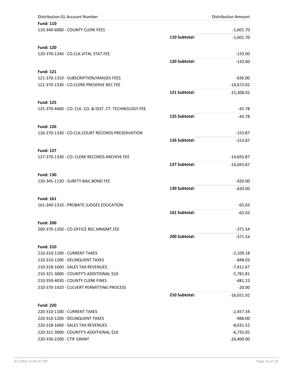| Distribution GL Account Number                         |               | <b>Distribution Amount</b> |
|--------------------------------------------------------|---------------|----------------------------|
| <b>Fund: 110</b>                                       |               |                            |
| 110-340-6000 - COUNTY CLERK FEES                       |               | $-1,601.70$                |
|                                                        | 110 Subtotal: | $-1,601.70$                |
|                                                        |               |                            |
| <b>Fund: 120</b>                                       |               |                            |
| 120-370-1340 - CO.CLK.VITAL STAT.FEE                   |               | $-133.00$                  |
|                                                        | 120 Subtotal: | $-133.00$                  |
| <b>Fund: 121</b>                                       |               |                            |
| 121-370-1310 - SUBSCRIPTION/IMAGES FEES                |               | $-636.00$                  |
| 121-370-1330 - CO.CLERK PRESERVE REC FEE               |               | $-14,672.02$               |
|                                                        | 121 Subtotal: | $-15,308.02$               |
|                                                        |               |                            |
| <b>Fund: 125</b>                                       |               |                            |
| 125-370-4400 - CO. CLK. CO. & DIST. CT. TECHNOLOGY FEE |               | $-45.78$                   |
|                                                        | 125 Subtotal: | $-45.78$                   |
| <b>Fund: 126</b>                                       |               |                            |
| 126-370-1330 - CO.CLK.COURT RECORDS PRESERVATION       |               | $-153.87$                  |
|                                                        | 126 Subtotal: |                            |
|                                                        |               | $-153.87$                  |
| <b>Fund: 127</b>                                       |               |                            |
| 127-370-1330 - CO. CLERK RECORDS ARCHIVE FEE           |               | $-14,693.87$               |
|                                                        | 127 Subtotal: | $-14,693.87$               |
|                                                        |               |                            |
| <b>Fund: 130</b>                                       |               |                            |
| 130-345-1130 - SURETY BAIL BOND FEE                    |               | $-420.00$                  |
|                                                        | 130 Subtotal: | $-420.00$                  |
| <b>Fund: 161</b>                                       |               |                            |
| 161-340-1310 - PROBATE JUDGES EDUCATION                |               | $-65.03$                   |
|                                                        | 161 Subtotal: | $-65.03$                   |
|                                                        |               |                            |
| <b>Fund: 200</b>                                       |               |                            |
| 200-370-1350 - CO.OFFICE REC.MNGMT.FEE                 |               | $-371.54$                  |
|                                                        | 200 Subtotal: | -371.54                    |
| <b>Fund: 210</b>                                       |               |                            |
| 210-310-1100 - CURRENT TAXES                           |               | $-2,109.18$                |
| 210-310-1200 - DELINQUENT TAXES                        |               | $-848.03$                  |
| 210-318-1600 - SALES TAX REVENUES                      |               | $-7,411.67$                |
| 210-321-3000 - COUNTY'S ADDITIONAL \$10                |               | $-5,781.81$                |
| 210-350-4030 - COUNTY CLERK FINES                      |               | $-481.23$                  |
| 210-370-1420 - CULVERT PERMITTING PROCESS              |               | $-20.00$                   |
|                                                        | 210 Subtotal: | $-16,651.92$               |
|                                                        |               |                            |
| <b>Fund: 220</b>                                       |               |                            |
| 220-310-1100 - CURRENT TAXES                           |               | $-2,457.34$                |
| 220-310-1200 - DELINQUENT TAXES                        |               | $-988.00$                  |
| 220-318-1600 - SALES TAX REVENUES                      |               | $-8,631.52$                |
| 220-321-3000 - COUNTY'S ADDITIONAL \$10                |               | $-6,735.05$                |
| 220-330-2200 - CTIF GRANT                              |               | $-26,400.00$               |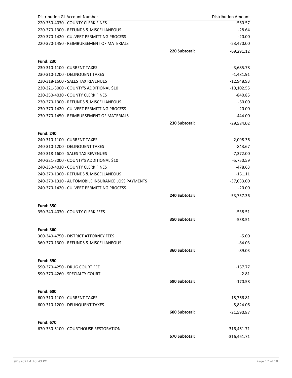| Distribution GL Account Number                            |               | <b>Distribution Amount</b> |
|-----------------------------------------------------------|---------------|----------------------------|
| 220-350-4030 - COUNTY CLERK FINES                         |               | $-560.57$                  |
| 220-370-1300 - REFUNDS & MISCELLANEOUS                    |               | $-28.64$                   |
| 220-370-1420 - CULVERT PERMITTING PROCESS                 |               | $-20.00$                   |
| 220-370-1450 - REIMBURSEMENT OF MATERIALS                 |               | $-23,470.00$               |
|                                                           | 220 Subtotal: | $-69,291.12$               |
|                                                           |               |                            |
| <b>Fund: 230</b>                                          |               |                            |
| 230-310-1100 - CURRENT TAXES                              |               | $-3,685.78$                |
| 230-310-1200 - DELINQUENT TAXES                           |               | $-1,481.91$                |
| 230-318-1600 - SALES TAX REVENUES                         |               | $-12,948.93$               |
| 230-321-3000 - COUNTY'S ADDITIONAL \$10                   |               | $-10,102.55$               |
| 230-350-4030 - COUNTY CLERK FINES                         |               | $-840.85$                  |
| 230-370-1300 - REFUNDS & MISCELLANEOUS                    |               | $-60.00$                   |
| 230-370-1420 - CULVERT PERMITTING PROCESS                 |               | $-20.00$                   |
| 230-370-1450 - REIMBURSEMENT OF MATERIALS                 |               | $-444.00$                  |
|                                                           | 230 Subtotal: | $-29,584.02$               |
| <b>Fund: 240</b>                                          |               |                            |
| 240-310-1100 - CURRENT TAXES                              |               | $-2,098.36$                |
| 240-310-1200 - DELINQUENT TAXES                           |               | $-843.67$                  |
| 240-318-1600 - SALES TAX REVENUES                         |               | $-7,372.00$                |
| 240-321-3000 - COUNTY'S ADDITIONAL \$10                   |               | -5,750.59                  |
| 240-350-4030 - COUNTY CLERK FINES                         |               | $-478.63$                  |
| 240-370-1300 - REFUNDS & MISCELLANEOUS                    |               | $-161.11$                  |
| 240-370-1310 - AUTOMOBILE INSURANCE LOSS PAYMENTS         |               | $-37,033.00$               |
| 240-370-1420 - CULVERT PERMITTING PROCESS                 |               | $-20.00$                   |
|                                                           | 240 Subtotal: | $-53,757.36$               |
|                                                           |               |                            |
| <b>Fund: 350</b>                                          |               |                            |
| 350-340-4030 - COUNTY CLERK FEES                          |               | $-538.51$                  |
|                                                           | 350 Subtotal: | $-538.51$                  |
|                                                           |               |                            |
| <b>Fund: 360</b><br>360-340-4750 - DISTRICT ATTORNEY FEES |               | $-5.00$                    |
| 360-370-1300 - REFUNDS & MISCELLANEOUS                    |               | $-84.03$                   |
|                                                           |               |                            |
|                                                           | 360 Subtotal: | $-89.03$                   |
| <b>Fund: 590</b>                                          |               |                            |
| 590-370-4250 - DRUG COURT FEE                             |               | -167.77                    |
| 590-370-4260 - SPECIALTY COURT                            |               | $-2.81$                    |
|                                                           | 590 Subtotal: | $-170.58$                  |
|                                                           |               |                            |
| <b>Fund: 600</b>                                          |               |                            |
| 600-310-1100 - CURRENT TAXES                              |               | -15,766.81                 |
| 600-310-1200 - DELINQUENT TAXES                           |               | $-5,824.06$                |
|                                                           | 600 Subtotal: | $-21,590.87$               |
| <b>Fund: 670</b>                                          |               |                            |
| 670-330-5100 - COURTHOUSE RESTORATION                     |               | $-316,461.71$              |
|                                                           | 670 Subtotal: | $-316,461.71$              |
|                                                           |               |                            |